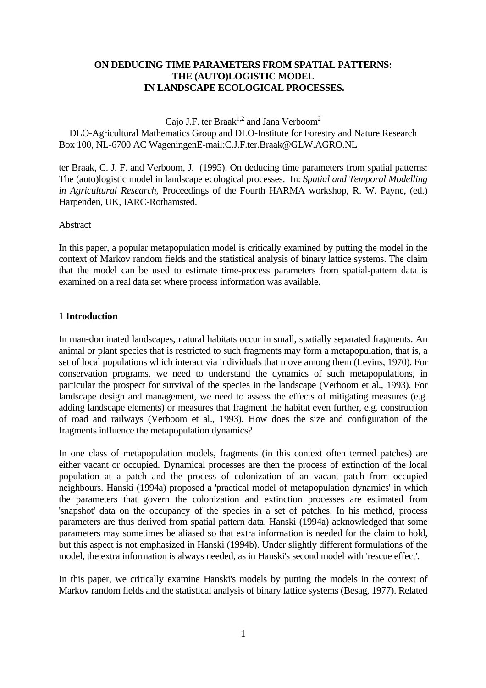# **ON DEDUCING TIME PARAMETERS FROM SPATIAL PATTERNS: THE (AUTO)LOGISTIC MODEL IN LANDSCAPE ECOLOGICAL PROCESSES.**

Cajo J.F. ter Braak<sup>1,2</sup> and Jana Verboom<sup>2</sup>

 DLO-Agricultural Mathematics Group and DLO-Institute for Forestry and Nature Research Box 100, NL-6700 AC WageningenE-mail:C.J.F.ter.Braak@GLW.AGRO.NL

ter Braak, C. J. F. and Verboom, J. (1995). On deducing time parameters from spatial patterns: The (auto)logistic model in landscape ecological processes. In: *Spatial and Temporal Modelling in Agricultural Research*, Proceedings of the Fourth HARMA workshop, R. W. Payne, (ed.) Harpenden, UK, IARC-Rothamsted.

# Abstract

In this paper, a popular metapopulation model is critically examined by putting the model in the context of Markov random fields and the statistical analysis of binary lattice systems. The claim that the model can be used to estimate time-process parameters from spatial-pattern data is examined on a real data set where process information was available.

# 1 **Introduction**

In man-dominated landscapes, natural habitats occur in small, spatially separated fragments. An animal or plant species that is restricted to such fragments may form a metapopulation, that is, a set of local populations which interact via individuals that move among them (Levins, 1970). For conservation programs, we need to understand the dynamics of such metapopulations, in particular the prospect for survival of the species in the landscape (Verboom et al., 1993). For landscape design and management, we need to assess the effects of mitigating measures (e.g. adding landscape elements) or measures that fragment the habitat even further, e.g. construction of road and railways (Verboom et al., 1993). How does the size and configuration of the fragments influence the metapopulation dynamics?

In one class of metapopulation models, fragments (in this context often termed patches) are either vacant or occupied. Dynamical processes are then the process of extinction of the local population at a patch and the process of colonization of an vacant patch from occupied neighbours. Hanski (1994a) proposed a 'practical model of metapopulation dynamics' in which the parameters that govern the colonization and extinction processes are estimated from 'snapshot' data on the occupancy of the species in a set of patches. In his method, process parameters are thus derived from spatial pattern data. Hanski (1994a) acknowledged that some parameters may sometimes be aliased so that extra information is needed for the claim to hold, but this aspect is not emphasized in Hanski (1994b). Under slightly different formulations of the model, the extra information is always needed, as in Hanski's second model with 'rescue effect'.

In this paper, we critically examine Hanski's models by putting the models in the context of Markov random fields and the statistical analysis of binary lattice systems (Besag, 1977). Related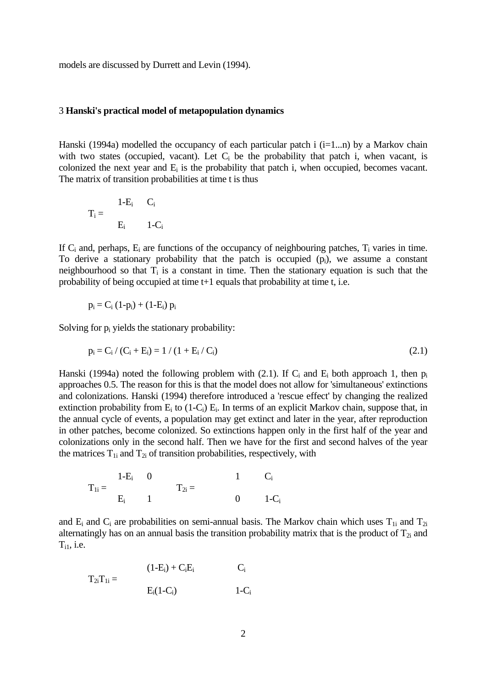models are discussed by Durrett and Levin (1994).

#### 3 **Hanski's practical model of metapopulation dynamics**

Hanski (1994a) modelled the occupancy of each particular patch i  $(i=1...n)$  by a Markov chain with two states (occupied, vacant). Let  $C_i$  be the probability that patch i, when vacant, is colonized the next year and  $E_i$  is the probability that patch i, when occupied, becomes vacant. The matrix of transition probabilities at time t is thus

$$
T_i = \begin{array}{cc} & 1-E_i & C_i \\ & E_i & 1-C_i \end{array}
$$

If  $C_i$  and, perhaps,  $E_i$  are functions of the occupancy of neighbouring patches,  $T_i$  varies in time. To derive a stationary probability that the patch is occupied  $(p_i)$ , we assume a constant neighbourhood so that  $T_i$  is a constant in time. Then the stationary equation is such that the probability of being occupied at time t+1 equals that probability at time t, i.e.

$$
p_i = C_i (1-p_i) + (1-E_i) p_i
$$

Solving for  $p_i$  yields the stationary probability:

$$
p_i = C_i / (C_i + E_i) = 1 / (1 + E_i / C_i)
$$
\n(2.1)

Hanski (1994a) noted the following problem with (2.1). If  $C_i$  and  $E_i$  both approach 1, then  $p_i$ approaches 0.5. The reason for this is that the model does not allow for 'simultaneous' extinctions and colonizations. Hanski (1994) therefore introduced a 'rescue effect' by changing the realized extinction probability from  $E_i$  to (1-C<sub>i</sub>)  $E_i$ . In terms of an explicit Markov chain, suppose that, in the annual cycle of events, a population may get extinct and later in the year, after reproduction in other patches, become colonized. So extinctions happen only in the first half of the year and colonizations only in the second half. Then we have for the first and second halves of the year the matrices  $T_{1i}$  and  $T_{2i}$  of transition probabilities, respectively, with

$$
T_{1i}=\begin{array}{ccc} & 1-E_i & 0 & & 1 & C_i \\ & & & T_{2i}=\end{array}
$$

and  $E_i$  and  $C_i$  are probabilities on semi-annual basis. The Markov chain which uses  $T_{1i}$  and  $T_{2i}$ alternatingly has on an annual basis the transition probability matrix that is the product of  $T_{2i}$  and  $T_{i1}$ , i.e.

$$
T_{2i}T_{1i} = \n\begin{aligned}\n(1-E_i) + C_iE_i & C_i \\
E_i(1-C_i) & 1-C_i\n\end{aligned}
$$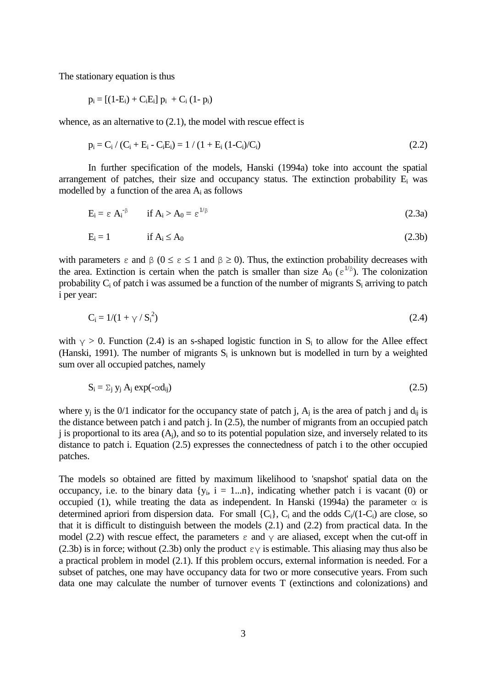The stationary equation is thus

$$
p_i = [(1-E_i) + C_iE_i] p_i + C_i (1-p_i)
$$

whence, as an alternative to  $(2.1)$ , the model with rescue effect is

$$
p_i = C_i / (C_i + E_i - C_i E_i) = 1 / (1 + E_i (1 - C_i) / C_i)
$$
\n(2.2)

 In further specification of the models, Hanski (1994a) toke into account the spatial arrangement of patches, their size and occupancy status. The extinction probability  $E_i$  was modelled by a function of the area  $A_i$  as follows

$$
E_i = \varepsilon A_i^{-\beta} \qquad \text{if } A_i > A_0 = \varepsilon^{1/\beta} \tag{2.3a}
$$

$$
E_i = 1 \qquad \text{if } A_i \le A_0 \tag{2.3b}
$$

with parameters  $\varepsilon$  and  $\beta$  ( $0 \le \varepsilon \le 1$  and  $\beta \ge 0$ ). Thus, the extinction probability decreases with the area. Extinction is certain when the patch is smaller than size  $A_0$  ( $\varepsilon^{1/\beta}$ ). The colonization probability  $C_i$  of patch i was assumed be a function of the number of migrants  $S_i$  arriving to patch i per year:

$$
C_i = 1/(1 + \gamma / S_i^2) \tag{2.4}
$$

with  $\gamma > 0$ . Function (2.4) is an s-shaped logistic function in S<sub>i</sub> to allow for the Allee effect (Hanski, 1991). The number of migrants  $S_i$  is unknown but is modelled in turn by a weighted sum over all occupied patches, namely

$$
S_i = \sum_j y_j A_j \exp(-\alpha d_{ij})
$$
 (2.5)

where  $y_i$  is the 0/1 indicator for the occupancy state of patch j,  $A_i$  is the area of patch j and  $d_{ii}$  is the distance between patch i and patch j. In (2.5), the number of migrants from an occupied patch j is proportional to its area  $(A<sub>i</sub>)$ , and so to its potential population size, and inversely related to its distance to patch i. Equation (2.5) expresses the connectedness of patch i to the other occupied patches.

The models so obtained are fitted by maximum likelihood to 'snapshot' spatial data on the occupancy, i.e. to the binary data  ${y_i$ ,  $i = 1...n}$ , indicating whether patch i is vacant (0) or occupied (1), while treating the data as independent. In Hanski (1994a) the parameter  $\alpha$  is determined apriori from dispersion data. For small  $\{C_i\}$ ,  $C_i$  and the odds  $C_i/(1-C_i)$  are close, so that it is difficult to distinguish between the models (2.1) and (2.2) from practical data. In the model (2.2) with rescue effect, the parameters  $\varepsilon$  and  $\gamma$  are aliased, except when the cut-off in (2.3b) is in force; without (2.3b) only the product  $\epsilon \gamma$  is estimable. This aliasing may thus also be a practical problem in model (2.1). If this problem occurs, external information is needed. For a subset of patches, one may have occupancy data for two or more consecutive years. From such data one may calculate the number of turnover events T (extinctions and colonizations) and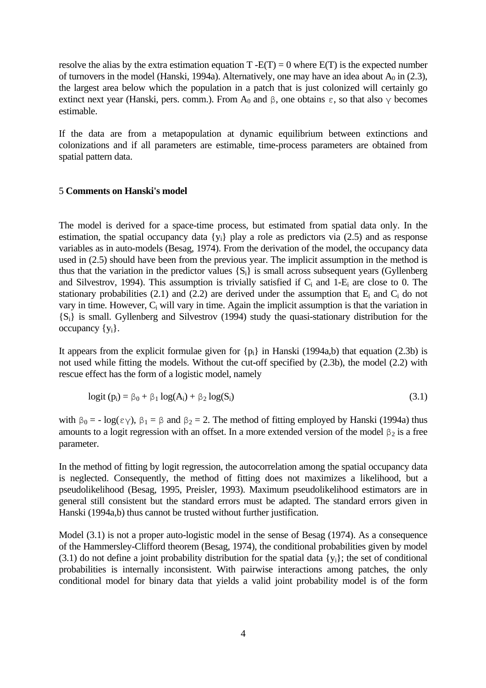resolve the alias by the extra estimation equation  $T - E(T) = 0$  where  $E(T)$  is the expected number of turnovers in the model (Hanski, 1994a). Alternatively, one may have an idea about  $A_0$  in (2.3), the largest area below which the population in a patch that is just colonized will certainly go extinct next year (Hanski, pers. comm.). From A<sub>0</sub> and β, one obtains  $\varepsilon$ , so that also  $\gamma$  becomes estimable.

If the data are from a metapopulation at dynamic equilibrium between extinctions and colonizations and if all parameters are estimable, time-process parameters are obtained from spatial pattern data.

# 5 **Comments on Hanski's model**

The model is derived for a space-time process, but estimated from spatial data only. In the estimation, the spatial occupancy data  $\{y_i\}$  play a role as predictors via (2.5) and as response variables as in auto-models (Besag, 1974). From the derivation of the model, the occupancy data used in (2.5) should have been from the previous year. The implicit assumption in the method is thus that the variation in the predictor values  $\{S_i\}$  is small across subsequent years (Gyllenberg and Silvestrov, 1994). This assumption is trivially satisfied if  $C_i$  and 1-E<sub>i</sub> are close to 0. The stationary probabilities (2.1) and (2.2) are derived under the assumption that  $E_i$  and  $C_i$  do not vary in time. However,  $C_i$  will vary in time. Again the implicit assumption is that the variation in {Si} is small. Gyllenberg and Silvestrov (1994) study the quasi-stationary distribution for the occupancy  $\{y_i\}$ .

It appears from the explicit formulae given for  $\{p_i\}$  in Hanski (1994a,b) that equation (2.3b) is not used while fitting the models. Without the cut-off specified by (2.3b), the model (2.2) with rescue effect has the form of a logistic model, namely

$$
logit (pi) = \beta_0 + \beta_1 log(Ai) + \beta_2 log(Si)
$$
\n(3.1)

with  $\beta_0 = -\log(\epsilon \gamma)$ ,  $\beta_1 = \beta$  and  $\beta_2 = 2$ . The method of fitting employed by Hanski (1994a) thus amounts to a logit regression with an offset. In a more extended version of the model  $\beta_2$  is a free parameter.

In the method of fitting by logit regression, the autocorrelation among the spatial occupancy data is neglected. Consequently, the method of fitting does not maximizes a likelihood, but a pseudolikelihood (Besag, 1995, Preisler, 1993). Maximum pseudolikelihood estimators are in general still consistent but the standard errors must be adapted. The standard errors given in Hanski (1994a,b) thus cannot be trusted without further justification.

Model (3.1) is not a proper auto-logistic model in the sense of Besag (1974). As a consequence of the Hammersley-Clifford theorem (Besag, 1974), the conditional probabilities given by model (3.1) do not define a joint probability distribution for the spatial data  $\{y_i\}$ ; the set of conditional probabilities is internally inconsistent. With pairwise interactions among patches, the only conditional model for binary data that yields a valid joint probability model is of the form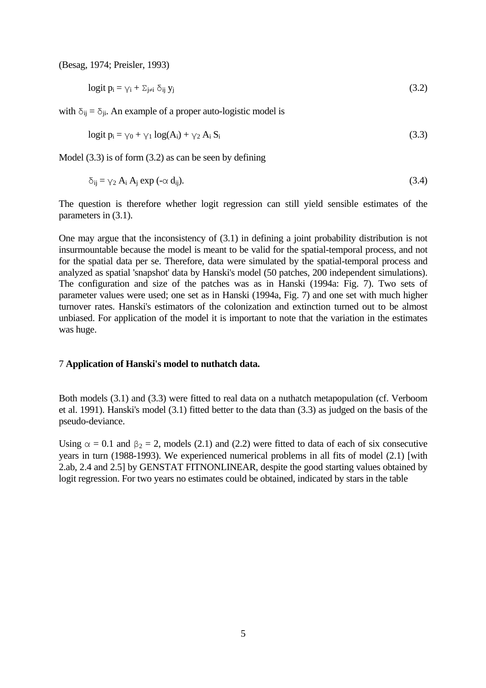(Besag, 1974; Preisler, 1993)

$$
logit p_i = \gamma_i + \sum_{j \neq i} \delta_{ij} y_j \tag{3.2}
$$

with  $\delta_{ij} = \delta_{ji}$ . An example of a proper auto-logistic model is

$$
logit p_i = \gamma_0 + \gamma_1 log(A_i) + \gamma_2 A_i S_i
$$
\n(3.3)

Model (3.3) is of form (3.2) as can be seen by defining

$$
\delta_{ij} = \gamma_2 A_i A_j \exp(-\alpha d_{ij}). \tag{3.4}
$$

The question is therefore whether logit regression can still yield sensible estimates of the parameters in (3.1).

One may argue that the inconsistency of (3.1) in defining a joint probability distribution is not insurmountable because the model is meant to be valid for the spatial-temporal process, and not for the spatial data per se. Therefore, data were simulated by the spatial-temporal process and analyzed as spatial 'snapshot' data by Hanski's model (50 patches, 200 independent simulations). The configuration and size of the patches was as in Hanski (1994a: Fig. 7). Two sets of parameter values were used; one set as in Hanski (1994a, Fig. 7) and one set with much higher turnover rates. Hanski's estimators of the colonization and extinction turned out to be almost unbiased. For application of the model it is important to note that the variation in the estimates was huge.

### 7 **Application of Hanski's model to nuthatch data.**

Both models (3.1) and (3.3) were fitted to real data on a nuthatch metapopulation (cf. Verboom et al. 1991). Hanski's model (3.1) fitted better to the data than (3.3) as judged on the basis of the pseudo-deviance.

Using  $\alpha = 0.1$  and  $\beta_2 = 2$ , models (2.1) and (2.2) were fitted to data of each of six consecutive years in turn (1988-1993). We experienced numerical problems in all fits of model (2.1) [with 2.ab, 2.4 and 2.5] by GENSTAT FITNONLINEAR, despite the good starting values obtained by logit regression. For two years no estimates could be obtained, indicated by stars in the table